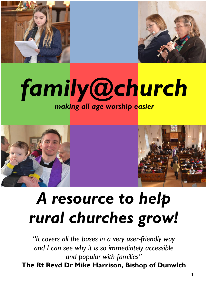



## *family@church making all age worship easier*





# *A resource to help rural churches grow!*

*"It covers all the bases in a very user-friendly way and I can see why it is so immediately accessible and popular with families"* **The Rt Revd Dr Mike Harrison, Bishop of Dunwich**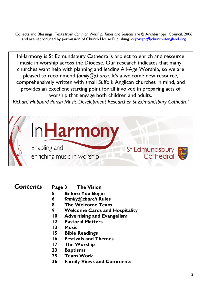Collects and Blessings: Texts from *Common Worship: Times and Seasons* are © Archbishops' Council, 2006 and are reproduced by permission of Church House Publishing. [copyright@churchofengland.org](mailto:copyright@churchofengland.org)

InHarmony is St Edmundsbury Cathedral's project to enrich and resource music in worship across the Diocese. Our research indicates that many churches want help with planning and leading All-Age Worship, so we are pleased to recommend *family@church*. It's a welcome new resource, comprehensively written with small Suffolk Anglican churches in mind, and provides an excellent starting point for all involved in preparing acts of worship that engage both children and adults.

*Richard Hubbard Parish Music Development Researcher St Edmundsbury Cathedral*

St Edmundsbury

Cathedral

Enabling and enriching music in worship

InHarmon

- *Contents* **Page 3 The Vision**
	- **5 Before You Begin**
	- **6** *family@church* **Rules**
	- **8 The Welcome Team**
	- **9 Welcome Cards and Hospitality**
	- **10 Advertising and Evangelism**
	- **12 Pastoral Matters**
	- **13 Music**
	- **15 Bible Readings**
	- **16 Festivals and Themes**
	- **17 The Worship**
	- **23 Baptisms**
	- **25 Team Work**
	- **26 Family Views and Comments**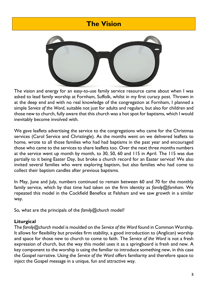## **The Vision**



The vision and energy for an easy-to-use family service resource came about when I was asked to lead family worship at Fornham, Suffolk, whilst in my first curacy post. Thrown in at the deep end and with no real knowledge of the congregation at Fornham, I planned a simple *Service of the Word*, suitable not just for adults and regulars, but also for children and those new to church, fully aware that this church was a hot spot for baptisms, which I would inevitably become involved with.

We gave leaflets advertising the service to the congregations who came for the Christmas services (Carol Service and Christingle). As the months went on we delivered leaflets to home, wrote to all those families who had had baptisms in the past year and encouraged those who came to the services to share leaflets too. Over the next three months numbers at the service went up month by month, to 30, 50, 60 and 115 in April. The 115 was due partially to it being Easter Day, but broke a church record for an Easter service! We also invited several families who were exploring baptism, but also families who had come to collect their baptism candles after previous baptisms.

In May, June and July, numbers continued to remain between 60 and 70 for the monthly family service, which by that time had taken on the firm identity as *family@fornham.* We repeated this model in the Cockfield Benefice at Felsham and we saw growth in a similar way.

So, what are the principals of the *family@church* model?

#### **Liturgical**

The *family@church* model is moulded on the *Service of the Word* found in Common Worship. It allows for flexibility but provides firm stability, a good introduction to (Anglican) worship and space for those new to church to come to faith. The *Service of the Word* is not a fresh expression of church, but the way this model uses it as a springboard is fresh and new. A key component to the worship is using the familiar to introduce something new, in this case the Gospel narrative. Using the *Service of the Word* offers familiarity and therefore space to inject the Gospel message in a unique, fun and attractive way.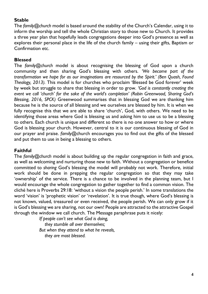#### **Stable**

The *family@church* model is based around the stability of the Church's Calendar, using it to inform the worship and tell the whole Christian story to those new to Church. It provides a three year plan that hopefully leads congregations deeper into God's presence as well as explores their personal place in the life of the church family – using their gifts, Baptism or Confirmation etc.

#### **Blessed**

The *family@church* model is about recognising the blessing of God upon a church community and then sharing God's blessing with others. *'We become part of the transformation we hope for as our imaginations are resourced by the Spirit.' (Ben Quash, Found Theology, 2013).* This model is for churches who proclaim 'Blessed be God forever' week by week but struggle to share that blessing in order to grow. *'God is constantly creating the event we call 'church' for the sake of the world's completion' (Robin Greenwood, Sharing God's Blessing, 2016, SPCK)* Greenwood summarises that in blessing God we are thanking him because he is the source of all blessing and we ourselves are blessed by him. It is when we fully recognise this that we are able to share 'church', God, with others. We need to be identifying those areas where God is blessing us and asking him to use us to be a blessing to others. Each church is unique and different so there is no one answer to how or where God is blessing your church. However, central to it is our continuous blessing of God in our prayer and praise. *family@*church encourages you to find out the gifts of the blessed and put them to use in being a blessing to others.

#### **Faithful**

The *family@church* model is about building up the regular congregation in faith and grace, as well as welcoming and nurturing those new to faith. Without a congregation or benefice committed to *sharing* God's blessing the model will probably not work. Therefore, initial work should be done in prepping the regular congregation so that they may take 'ownership' of the service. There is a chance to be involved in the planning team, but I would encourage the whole congregation to gather together to find a common vision. The cliché here is Proverbs 29:18: 'without a vision the people perish.' In some translations the word 'vision' is 'prophetic vision' or 'revelation'. It is true though, where God's blessing is not known, valued, treasured or even received, the people perish. We can only grow if it is God's blessing we are sharing, not our own! People are attracted to the attractive Gospel through the window we call church. The Message paraphrase puts it nicely:

> *If people can't see what God is doing, they stumble all over themselves; But when they attend to what he reveals, they are most blessed.*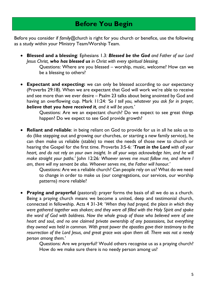Before you consider if *family@church* is right for you church or benefice, use the following as a study within your Ministry Team/Worship Team.

- **Blessed and a blessing**: Ephesians 1.3*: Blessed be the God and Father of our Lord Jesus Christ, who has blessed us in Christ with every spiritual blessing.*
	- Questions: Where are you blessed worship, music, welcome? How can we be a blessing to others?
- **Expectant and expecting:** we can only be blessed according to our expectancy (Proverbs 29:18). When we are expectant that God will work we're able to receive and see more than we ever desire – Psalm 23 talks about being anointed by God and having an overflowing cup. Mark 11:24*: 'So I tell you, whatever you ask for in prayer, believe that you have received it, and it will be yours.'*

Questions: Are we an expectant church? Do we expect to see great things happen? Do we expect to see God provide growth?

• **Reliant and reliable**: in being reliant on God to provide for us in all he asks us to do (like stepping out and growing our churches, or starting a new family service), he can then make us reliable (stable) to meet the needs of those new to church or hearing the Gospel for the first time. Proverbs 3:5-6: '*Trust in the Lord with all your heart, and do not rely on your own insight. In all your ways acknowledge him, and he will make straight your paths.'* John 12:26*: Whoever serves me must follow me, and where I am, there will my servant be also. Whoever serves me, the Father will honour.'*

Questions: Are we a reliable church? Can people rely on us? What do we need to change in order to make us (our congregations, our services, our worship patterns) more reliable?

• **Praying and prayerful** (pastoral): prayer forms the basis of all we do as a church. Being a praying church means we become a united, deep and testimonial church, connected in fellowship. Acts 4 31-34: '*When they had prayed, the place in which they were gathered together was shaken; and they were all filled with the Holy Spirit and spoke the word of God with boldness. Now the whole group of those who believed were of one heart and soul, and no one claimed private ownership of any possessions, but everything they owned was held in common. With great power the apostles gave their testimony to the resurrection of the Lord Jesus, and great grace was upon them all. There was not a needy person among them.'*

> Questions: Are we prayerful? Would others recognise us as a praying church? How do we make sure there is no needy person among us?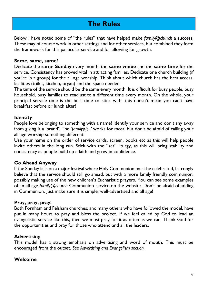## **The Rules**

Below I have noted some of "the rules" that have helped make *family@church* a success. These may of course work in other settings and for other services, but combined they form the framework for this particular service and for allowing for growth.

#### **Same, same, same!**

Dedicate the **same Sunday** every month, the **same venue** and the **same time** for the service. Consistency has proved vital in attracting families. Dedicate one church building (if you're in a group) for the all age worship. Think about which church has the best access, facilities (toilet, kitchen, organ) and the space needed.

The time of the service should be the same every month. It is difficult for busy people, busy household, busy families to readjust to a different time every month. On the whole, your principal service time is the best time to stick with. this doesn't mean you can't have breakfast before or lunch after!

#### **Identity**

People love belonging to something with a name! Identify your service and don't shy away from giving it a 'brand'. The '*family@...'* works for most, but don't be afraid of calling your all age worship something different.

Use your name on the order of service cards, screen, books etc as this will help people invite others in the long run. Stick with the "set" liturgy, as this will bring stability and consistency as people build up a faith and grow in confidence.

#### **Go Ahead Anyway**

If the Sunday falls on a major festival where Holy Communion must be celebrated, I strongly believe that the service should still go ahead, but with a more family friendly communion, possibly making use of the new children's Eucharistic prayers. You can see some examples of an all age *family@church* Communion service on the website. Don't be afraid of adding in Communion. Just make sure it is simple, well-advertised and all age!

#### **Pray, pray, pray!**

Both Fornham and Felsham churches, and many others who have followed the model, have put in many hours to pray and bless the project. If we feel called by God to lead an evangelistic service like this, then we must pray for it as often as we can. Thank God for the opportunities and pray for those who attend and all the leaders.

#### **Advertising**

This model has a strong emphasis on advertising and word of mouth. This must be encouraged from the outset. *See Advertising and Evangelism section.*

#### **Welcome**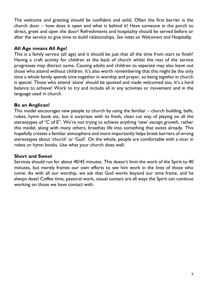The welcome and greeting should be confident and solid. Often the first barrier is the church door – how does it open and what is behind it! Have someone in the porch to direct, greet and open the door! Refreshments and hospitality should be served before or after the service to give time to build relationships. *See notes on Welcomers and Hospitality.*

#### **All Age means All Age!**

This is a family service (all age) and it should be just that all the time from start to finish! Having a craft activity for children at the back of church whilst the rest of the service progresses may distract some. Causing adults and children to separate may also leave out those who attend without children. It's also worth remembering that this might be the only time a whole family spends time together in worship and prayer, so being *together* in church is special. Those who attend 'alone' should be spotted and made welcomed too. It's a hard balance to achieve! Work to try and include all in any activities or movement and in the language used in church.

#### **Be an Anglican!**

This model encourages new people to church by using the familiar – church building, bells, robes, hymn book etc, but it surprises with its fresh, clean cut way of playing on all the stereotypes of "C of E". We're not trying to achieve anything 'new' except growth, rather this model, along with many others, breathes life into something that exists already. This hopefully creates a familiar atmosphere and more importantly helps break barriers of wrong stereotypes about 'church' or 'God'. On the whole, people are comfortable with a vicar in robes or hymn books. Use what your church does well.

#### **Short and Sweet**

Services should run for about 40/45 minutes. This doesn't limit the work of the Spirit to 40 minutes, but merely frames our own efforts to see him work in the lives of those who come. As with all our worship, we ask that God works beyond our time frame, and he always does! Coffee time, pastoral work, casual contact are all ways the Spirit can continue working on those we have contact with.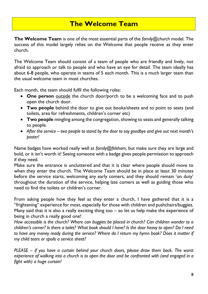## **The Welcome Team**

**The Welcome Team** is one of the most essential parts of the *family@church* model. The success of this model largely relies on the Welcome that people receive as they enter church.

The Welcome Team should consist of a team of people who are friendly and lively, not afraid to approach or talk to people and who have an eye for detail. The team ideally has about 6-8 people, who operate in teams of 5 each month. This is a much larger team than the usual welcome team in most churches.

Each month, the team should fulfil the following roles:

- **One person** outside the church door/porch to be a welcoming face and to push open the church door.
- **Two people** behind the door to give out books/sheets and to point to seats (and toilets, area for refreshments, children's corner etc)
- **Two people** mingling among the congregation, showing to seats and generally talking to people.
- *After the service – two people to stand by the door to say goodbye and give out next month's poster!*

Name badges have worked really well at *family@felsham,* but make sure they are large and bold, or it isn't worth it! Seeing someone with a badge gives people permission to approach if they need.

Make sure the entrance is uncluttered and that it is clear where people should move to when they enter the church. The Welcome Team should be in place at least 30 minutes before the service starts, welcoming any early comers, and they should remain 'on duty' throughout the duration of the service, helping late comers as well as guiding those who need to find the toilets or children's corner.

From asking people how they feel as they enter a church, I have gathered that it is a "frightening" experience for most, especially for those with children and pushchairs/buggies. Many said that it is also a really exciting thing too – so let us help make the experience of being in church a really good one!

*How accessible is the church? Where can buggies be placed in church? Can children wander to a children's corner? Is there a toilet? What book should I have? Is the door heavy to open? Do I need to have any money ready during the service? Where do I return my hymn book? Does it matter if my child tears or spoils a service sheet?*

*PLEASE – if you have a curtain behind your church doors, please draw them back. The worst experience of walking into a church is to open the door and be confronted with (and engaged in a fight with) a huge curtain!*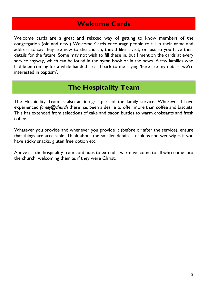## **Welcome Cards**

Welcome cards are a great and relaxed way of getting to know members of the congregation (old and new!) Welcome Cards encourage people to fill in their name and address to say they are new to the church, they'd like a visit, or just so you have their details for the future. Some may not wish to fill these in, but I mention the cards at every service anyway, which can be found in the hymn book or in the pews. A few families who had been coming for a while handed a card back to me saying 'here are my details, we're interested in baptism'.

## **The Hospitality Team**

The Hospitality Team is also an integral part of the family service. Wherever I have experienced *family@church* there has been a desire to offer more than coffee and biscuits. This has extended from selections of cake and bacon butties to warm croissants and fresh coffee.

Whatever you provide and whenever you provide it (before or after the service), ensure that things are accessible. Think about the smaller details – napkins and wet wipes if you have sticky snacks, gluten free option etc.

Above all, the hospitality team continues to extend a warm welcome to all who come into the church, welcoming them as if they were Christ.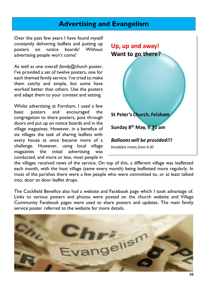### **Advertising and Evangelism**

Over the past few years I have found myself constantly delivering leaflets and putting up posters on notice boards! Without advertising people won't come!

As well as one overall *family@church* poster, I've provided a set of twelve posters, one for each themed family service. I've tried to make them catchy and simple, but some have worked better than others. Use the posters and adapt them to your context and setting.

Whilst advertising at Fornham, I used a few basic posters and encouraged the congregation to share posters, post through doors and put up on notice boards and in the village magazines. However, in a benefice of six villages the task of sharing leaflets with every house at once became more of a challenge. However, using local village magazines the initial advertising was conducted, and more or less, most people in



the villages received news of the service. On top of this, a different village was leafletted each month, with the host village (same every month) being leafletted more regularly. In most of the parishes there were a few people who were committed to, or at least talked into, door to door leaflet drops.

The Cockfield Benefice also had a website and Facebook page which I took advantage of. Links to various posters and photos were posted on the church website and Village Community Facebook pages were used to share posters and updates. The main family service poster referred to the website for more details.

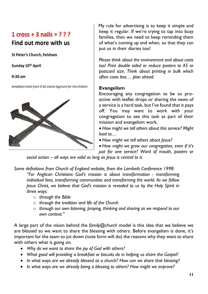## $1 \text{ cross} + 3 \text{ nails} = ? ? ?$ Find out more with us

St Peter's Church, Felsham

Sunday 10th April

 $9:30$  am

breakfast treats from 9.30, Easter Egg hunt for the children



My rule for advertising is to keep it simple and keep it regular. If we're trying to tap into busy families, then we need to keep reminding them of what's coming up and when, so that they can put us in their diaries too!

*Please think about the environment and about costs too! Print double sided or reduce posters to A5 or postcard size. Think about printing in bulk which often costs less… plan ahead.*

#### **Evangelism**

Encouraging any congregation to be so proactive with leaflet drops or sharing the news of a service is a hard task, but I've found that it pays off. You may want to work with your congregation to see this task as part of their mission and evangelism work.

• *How might we tell others about this service? Might lead to…*

• *How might we tell others about Jesus?*

• *How might we grow our congregation, even if it's just for one service? Word of mouth, posters or* 

*social action – all ways are valid as long as Jesus is central to it.*

*Some definitions from Church of England website, from the Lambeth Conference 1998:*

*"For Anglican Christians God's mission is about transformation - transforming individual lives, transforming communities and transforming the world. As we follow Jesus Christ, we believe that God's mission is revealed to us by the Holy Spirit in three ways:*

- o *through the Bible*
- o *through the tradition and life of the Church*
- o *through our own listening, praying, thinking and sharing as we respond to our own context."*

A large part of the vision behind the *family@church* model is this idea that we believe we are blessed so we want to share the blessing with others. Before evangelism is done, it's important for the team to jot down (note form will do) the reasons why they want to share with others what is going on.

- *Why do we want to share the joy of God with others?*
- *What good will providing a breakfast or biscuits do in helping us share the Gospel?*
- *In what ways are we already blessed as a church? How can we share that blessing?*
- *In what ways are we already being a blessing to others? How might we improve?*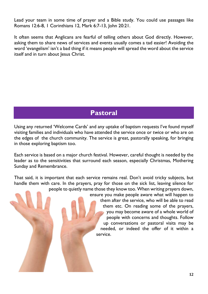Lead your team in some time of prayer and a Bible study. You could use passages like Romans 12:6-8, 1 Corinthians 12, Mark 6:7-13, John 20:21.

It often seems that Anglicans are fearful of telling others about God directly. However, asking them to share news of services and events usually comes a tad easier! Avoiding the word 'evangelism' isn't a bad thing if it means people will spread the word about the service itself and in turn about Jesus Christ.

## **Pastoral**

Using any returned 'Welcome Cards' and any uptake of baptism requests I've found myself visiting families and individuals who have attended the service once or twice or who are on the edges of the church community. The service is great, pastorally speaking, for bringing in those exploring baptism too.

Each service is based on a major church festival. However, careful thought is needed by the leader as to the sensitivities that surround each season, especially Christmas, Mothering Sunday and Remembrance.

That said, it is important that each service remains real. Don't avoid tricky subjects, but handle them with care. In the prayers, pray for those on the sick list, leaving silence for people to quietly name those they know too. When writing prayers down, ensure you make people aware what will happen to them after the service, who will be able to read them etc. On reading some of the prayers, you may become aware of a whole world of people with concerns and thoughts. Follow up conversations or pastoral visits may be needed, or indeed the offer of it within a service.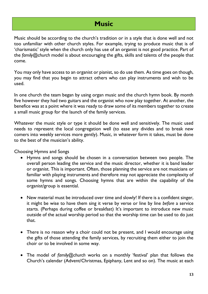## **Music**

Music should be according to the church's tradition or in a style that is done well and not too unfamiliar with other church styles. For example, trying to produce music that is of 'charismatic' style when the church only has use of an organist is not good practice. Part of the *family@church* model is about encouraging the gifts, skills and talents of the people that come.

You may only have access to an organist or pianist, so do use them. As time goes on though, you may find that you begin to attract others who can play instruments and wish to be used.

In one church the team began by using organ music and the church hymn book. By month five however they had two guitars and the organist who now play together. At another, the benefice was at a point where it was ready to draw some of its members together to create a small music group for the launch of the family services.

Whatever the music style or type it should be done well and sensitively. The music used needs to represent the local congregation well (to ease any divides and to break new comers into weekly services more gently). Music, in whatever form it takes, must be done to the best of the musician's ability.

Choosing Hymns and Songs

- Hymns and songs should be chosen in a conversation between two people. The overall person leading the service and the music director, whether it is band leader or organist. This is important. Often, those planning the service are not musicians or familiar with playing instruments and therefore may not appreciate the complexity of some hymns and songs. Choosing hymns that are within the capability of the organist/group is essential.
- New material must be introduced over time and slowly! If there is a confident singer, it might be wise to have them sing it verse by verse or line by line *before* a service starts. (Perhaps during coffee or breakfast) It's important to introduce new music outside of the actual worship period so that the worship time can be used to do just that.
- There is no reason why a choir could not be present, and I would encourage using the gifts of those attending the family services, by recruiting them either to join the choir or to be involved in some way.
- The model of *family@church* works on a monthly 'festival' plan that follows the Church's calendar (Advent/Christmas, Epiphany, Lent and so on). The music at each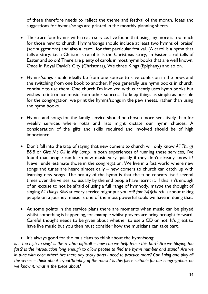of these therefore needs to reflect the theme and festival of the month. Ideas and suggestions for hymns/songs are printed in the monthly planning sheets.

- There are four hymns within each service. I've found that using any more is too much for those new to church. Hymns/songs should include at least two hymns of 'praise' (see suggestions) and also a 'carol' for that particular festival. (A carol is a hymn that tells a story: i.e. a Christmas carol tells the Christmas story, an Easter carol tells of Easter and so on! There are plenty of carols in most hymn books that are well known. Once in Royal David's City (Christmas), We three Kings (Epiphany) and so on.
- Hymns/songs should ideally be from one source to save confusion in the pews and the switching from one book to another. If you generally use hymn books in church, continue to use them. One church I'm involved with currently uses hymn books but wishes to introduce music from other sources. To keep things as simple as possible for the congregation, we print the hymns/songs in the pew sheets, rather than using the hymn books.
- Hymns and songs for the family service should be chosen more sensitively than for weekly services where rotas and lists might dictate our hymn choices. A consideration of the gifts and skills required and involved should be of high importance.
- Don't fall into the trap of saying that new comers to church will only know *All Things B&B* or *Give Me Oil In My Lamp.* In both experiences of running these services, I've found that people can learn new music very quickly if they don't already know it! Never underestimate those in the congregation. We live in a fast world where new songs and tunes are heard almost daily – new comers to church can catch up with learning new songs. The beauty of the hymn is that the tune repeats itself several times over the verses, so usually by the end people have learnt it. If this isn't enough of an excuse to not be afraid of using a full range of hymnody, maybe the thought of singing *All Things B&B* at every service might put you off! *family@church* is about taking people on a journey, music is one of the most powerful tools we have in doing that.
- At some points in the service plans there are moments when music can be played whilst something is happening, for example whilst prayers are bring brought forward. Careful thought needs to be given about whether to use a CD or not. It's great to have live music but you then must consider how the musicians can take part.
- It's always good for the musicians to think about the hymn/song:

*Is it too high to sing? Is the rhythm difficult – how can we help teach this part? Are we playing too fast? Is the introduction long enough to allow people to find the hymn number and stand? Are we in tune with each other? Are there any tricky parts I need to practice more? Can I sing and play all the verses – think about layout/printing of the music? Is this piece suitable for our congregation, do we know it, what is the piece about?*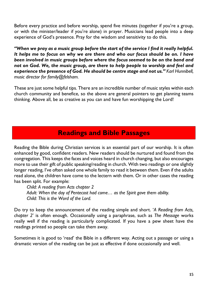Before every practice and before worship, spend five minutes (together if you're a group, or with the minister/leader if you're alone) in prayer. Musicians lead people into a deep experience of God's presence. Pray for the wisdom and sensitivity to do this.

*"When we pray as a music group before the start of the service I find it really helpful. It helps me to focus on why we are there and who our focus should be on. I have been involved in music groups before where the focus seemed to be on the band and*  not on God. We, the music group, are there to help people to worship and feel and *experience the presence of God. He should be centre stage and not us." Karl Hunnibell, music director for family@felsham.*

These are just some helpful tips. There are an incredible number of music styles within each church community and benefice, so the above are general pointers to get planning teams thinking. Above all, be as creative as you can and have fun worshipping the Lord!

## **Readings and Bible Passages**

Reading the Bible during Christian services is an essential part of our worship. It is often enhanced by good, confident readers. New readers should be nurtured and found from the congregation. This keeps the faces and voices heard in church changing, but also encourages more to use their gift of public speaking/reading in church. With two readings or one slightly longer reading, I've often asked one whole family to read it between them. Even if the adults read alone, the children have come to the lectern with them. Or in other cases the reading has been split. For example:

*Child: A reading from Acts chapter 2 Adult: When the day of Pentecost had come… as the Spirit gave them ability. Child: This is the Word of the Lord.*

Do try to keep the announcement of the reading simple and short. '*A Reading from Acts, chapter 2*' is often enough. Occasionally using a paraphrase, such as *The Message* works really well if the reading is particularly complicated. If you have a pew sheet have the readings printed so people can take them away.

Sometimes it is good to 'read' the Bible in a different way. Acting out a passage or using a dramatic version of the reading can be just as effective if done occasionally and well.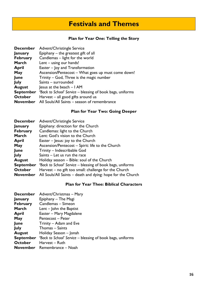## **Festivals and Themes**

#### **Plan for Year One: Telling the Story**

| Advent/Christingle Service                                        |  |  |  |
|-------------------------------------------------------------------|--|--|--|
| Epiphany $-$ the greatest gift of all                             |  |  |  |
| Candlemas - light for the world                                   |  |  |  |
| Lent - using our hands!                                           |  |  |  |
| Easter – Joy and Transformation                                   |  |  |  |
| Ascension/Pentecost – What goes up must come down!                |  |  |  |
| Trinity – God, Three is the magic number                          |  |  |  |
| Saints - surrounded                                               |  |  |  |
| Jesus at the beach $-1$ AM                                        |  |  |  |
| <i>'Back to School' Service</i> – blessing of book bags, uniforms |  |  |  |
| Harvest $-$ all good gifts around us                              |  |  |  |
| All Souls/All Saints - season of remembrance                      |  |  |  |
|                                                                   |  |  |  |

#### **Plan for Year Two: Going Deeper**

| Advent/Christingle Service                                        |
|-------------------------------------------------------------------|
| Epiphany: direction for the Church                                |
| Candlemas: light to the Church                                    |
| Lent: God's vision to the Church                                  |
| Easter - Jesus: joy to the Church                                 |
| Ascension/Pentecost - Spirit: life to the Church                  |
| Trinity - Indescribable God                                       |
| Saints - Let us run the race                                      |
| Holiday season - Bible: soul of the Church                        |
| <i>'Back to School' Service</i> – blessing of book bags, uniforms |
| Harvest – no gift too small: challenge for the Church             |
| All Souls/All Saints – death and dying: hope for the Church       |
|                                                                   |

#### **Plan for Year Thee: Biblical Characters**

| <b>December</b> | Advent/Christmas - Mary                                                     |
|-----------------|-----------------------------------------------------------------------------|
| January         | Epiphany – The Magi                                                         |
| <b>February</b> | Candlemas - Simeon                                                          |
| March           | Lent $-$ John the Baptist                                                   |
| April           | Easter - Mary Magdalene                                                     |
| <b>May</b>      | Pentecost – Peter                                                           |
| June            | Trinity – Adam and Eve                                                      |
| <b>July</b>     | Thomas – Saints                                                             |
| <b>August</b>   | Holiday Season – Jonah                                                      |
|                 | <b>September</b> 'Back to School' Service – blessing of book bags, uniforms |
| October         | Harvest - Ruth                                                              |
| <b>November</b> | - Remembrance – Noah                                                        |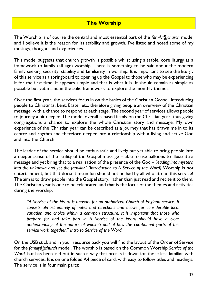### **The Worship**

The Worship is of course the central and most essential part of the *family@church* model and I believe it is the reason for its stability and growth. I've listed and noted some of my musings, thoughts and experiences.

This model suggests that church growth is possible whilst using a stable, core liturgy as a framework to family (all age) worship. There is something to be said about the modern family seeking security, stability and familiarity in worship. It is important to see the liturgy of this service as a springboard to opening up the Gospel to those who may be experiencing it for the first time. It appears simple and that is what it is. It should remain as simple as possible but yet maintain the solid framework to explore the monthly themes.

Over the first year, the services focus in on the basics of the Christian Gospel, introducing people to Christmas, Lent, Easter etc, therefore giving people an overview of the Christian message, with a chance to respond at each stage. The second year of services allows people to journey a bit deeper. The model overall is based firmly on the Christian year, thus giving congregations a chance to explore the whole Christian story and message. My own experience of the Christian year can be described as a journey that has drawn me in to its centre and rhythm and therefore deeper into a relationship with a living and active God and into the Church.

The leader of the service should be enthusiastic and lively but yet able to bring people into a deeper sense of the reality of the Gospel message – able to use balloons to illustrate a message and yet bring that to a realisation of the presence of the God – *'leading into mystery, into the unknown and yet the familiar.' (Introduction to A Service of the Word)* Worship is not entertainment, but that doesn't mean fun should not be had by all who attend this service! The aim is to draw people into the Gospel story, rather than just read and recite it to them. The Christian year is one to be celebrated and that is the focus of the themes and activities during the worship.

*"A Service of the Word is unusual for an authorized Church of England service. It consists almost entirely of notes and directions and allows for considerable local variation and choice within a common structure. It is important that those who prepare for and take part in A Service of the Word should have a clear understanding of the nature of worship and of how the component parts of this service work together." Intro to Service of the Word.*

On the USB stick and in your resource pack you will find the layout of the Order of Service for the *family@church* model. The worship is based on the Common Worship *Service of the*  Word, but has been laid out in such a way that breaks it down for those less familiar with church services. It is on one folded A4 piece of card, with easy to follow titles and headings. The service is in four main parts: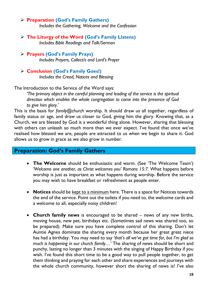#### ➢ **Preparation (God's Family Gathers)** *Includes the Gathering, Welcome and the Confession*

- ➢ **The Liturgy of the Word (God's Family Listens)** *Includes Bible Readings and Talk/Sermon*
- ➢ **Prayers (God's Family Prays)** *Includes Prayers, Collect/s and Lord's Prayer*
- ➢ **Conclusion (God's Family Goes!)** *Includes the Creed, Notices and Blessing*

The Introduction to the Service of the Word says:

*'The primary object in the careful planning and leading of the service is the spiritual direction which enables the whole congregation to come into the presence of God to give him glory.'*

This is the basis for *family@church* worship. It should draw us all together, regardless of family status or age, and draw us closer to God, giving him the glory. Knowing that, as a Church, we are blessed by God is a wonderful thing alone. However, sharing that blessing with others can unleash so much more than we ever expect. I've found that once we've realised how blessed we are, people are attracted to us when we begin to share it. God allows us to grow in grace as we also grow in number.

#### **Preparation: God's Family Gathers**

- **The Welcome** should be enthusiastic and warm. (See 'The Welcome Team') *'Welcome one another, as Christ welcomes you' Romans 15:7.* What happens before worship is just as important as what happens during worship. Before the service you may wish to have breakfast or refreshment as people enter.
- **Notices** should be kept to a minimum here. There is a space for Notices towards the end of the service. Point out the toilets if you need to, the welcome cards and a welcome to all, especially noisy children!
- **Church family news** is encouraged to be shared news of any new births, moving house, new pet, birthdays etc. (Sometimes sad news was shared too, so be prepared). Make sure you have complete control of this sharing. Don't let Auntie Agnes dominate the sharing every month because her great great niece has had a birthday. You may need to say *'that's all we've got time for, but I'm glad so much is happening in our church family…'* The sharing of news should be short and punchy, lasting no longer than 3 minutes with the singing of Happy Birthday if you wish. I've found this short time to be a good way to pull people together, to get them thinking and praying for each other and share experiences and journeys with the whole church community, however short the sharing of news is! I've also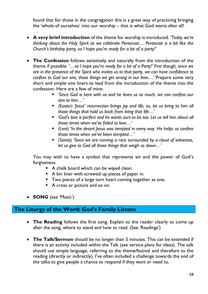found that for those in the congregation this is a great way of practicing bringing the 'whole of ourselves' into our worship – that is what God wants after all!

- **A very brief introduction** of the theme for worship is introduced. *'Today we're thinking about the Holy Spirit as we celebrate Pentecost… Pentecost is a bit like the Church's birthday party, so I hope you're ready for a bit of a party!'*
- **The Confession** follows sensitively and naturally from the introduction of the theme if possible. *'…so I hope you're ready for a bit of a Party!' First though, since we are in the presence of the Spirit who invites us to that party, we can have confidence to confess to God our sins, those things we get wrong in our lives…'* Prepare some very short and simple one liners to lead from the introduction of the theme into the confession. Here are a few of mine:
	- **E** 'Since God is here with us and he loves us so much, we can confess our *sins to him…'*
	- *(Easter) 'Jesus' resurrection brings joy and life, so, let us bring to him all those things that hold us back from living that life…'*
	- *'God's love is perfect and he wants ours to be too. Let us tell him about all those times when we've failed to love…'*
	- *(Lent) 'In the desert Jesus was tempted in every way. He helps us confess those times when we've been tempted…'*
	- *(Saints)* 'Since we are running a race surrounded by a cloud of witnesses, *let us give to God all those things that weigh us down…'*

You may wish to have a symbol that represents sin and the power of God's forgiveness.

- A chalk board which can be wiped clean.
- A bin liner with screwed up pieces of paper in.
- **Two pieces of a large torn heart coming together as one.**
- A cross or picture and so on.
- **SONG** (see 'Music')

### **The Liturgy of the Word: God's Family Listens**

- **The Reading** follows the first song. Explain to the reader clearly to come up after the song, where to stand and how to read. (See 'Readings')
- **The Talk/Sermon** should be no longer than 5 minutes. This can be extended if there is an activity included within the Talk (see service plans for ideas). The talk should use simple language, referring to the theme/festival and therefore to the reading (directly or indirectly). I've often included a challenge towards the end of the talks to give people a chance to respond if they want or need to.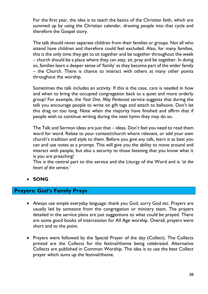For the first year, the idea is to teach the basics of the Christian faith, which are summed up by using the Christian calendar, drawing people into that cycle and therefore the Gospel story.

The talk should never separate children from their families or groups. Not all who attend have children and therefore could feel excluded. Also, for many families, this is the only time they get to sit together and be together throughout the week – church should be a place where they can stay, sit, pray and be together. In doing so, families learn a deeper sense of 'family' as they become part of the wider family – the Church. There is chance to interact with others at many other points throughout the worship.

Sometimes the talk includes an activity. If this is the case, care is needed in how and when to bring the occupied congregation back to a quiet and more orderly group! For example, the *Year One, May Pentecost* service suggests that during the talk you encourage people to write on gift tags and attach to balloons. Don't let this drag on too long. Note when the majority have finished and affirm that if people wish to continue writing during the next hymn they may do so.

The Talk and Sermon ideas are just that – ideas. Don't feel you need to read them word for word. Relate to your context/church where relevant, or add your own church's tradition and style to them. Before you give any talk, learn it as best you can and use notes as a prompt. This will give you the ability to move around and interact with people, but also a security to those listening that you know what it is you are preaching!

This is the central part to this service and the Liturgy of the Word and is *'at the heart of the service.'*

#### • **SONG**

#### **Prayers: God's Family Prays**

- Always use simple everyday language: thank you God, sorry God etc. Prayers are usually led by someone from the congregation or ministry team. The prayers detailed in the service plans are just suggestions to what could be prayed. There are some good books of intercession for All Age worship. Overall, prayers were short and to the point.
- Prayers were followed by the Special Prayer of the day (Collect). The Collects printed are the Collects for the festival/theme being celebrated. Alternative Collects are published in Common Worship. The idea is to use the best Collect prayer which sums up the festival/theme.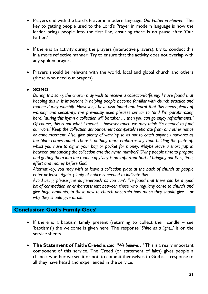- Prayers end with the Lord's Prayer in modern language: *Our Father in Heaven*. The key to getting people used to the Lord's Prayer in modern language is how the leader brings people into the first line, ensuring there is no pause after 'Our Father.'
- If there is an activity during the prayers (interactive prayers), try to conduct this in a more reflective manner. Try to ensure that the activity does not overlap with any spoken prayers.
- Prayers should be relevant with the world, local and global church and others (those who need our prayers).

#### • **SONG**

*During this song, the church may wish to receive a collection/offering. I have found that keeping this in is important in helping people become familiar with church practice and routine during worship. However, I have also found and learnt that this needs plenty of warning and sensitivity. I've previously used phrases similar to (and I'm paraphrasing here) 'during this hymn a collection will be taken… then you can go enjoy refreshments!' Of course, this is not what I meant – however much we may think it's needed to fund our work! Keep the collection announcement completely separate from any other notice or announcement. Also, give plenty of warning so as not to catch anyone unawares as the plate comes round. There is nothing more embarrassing than holding the plate up whilst you have to dig in your bag or pocket for money. Maybe leave a short gap in between announcing the collection and the hymn number? Giving people time to prepare and getting them into the routine of giving is an important part of bringing our lives, time, effort and money before God.*

*Alternatively, you may wish to leave a collection plate at the back of church as people enter or leave. Again, plenty of notice is needed to indicate this.*

*Avoid using 'please give as generously as you can'. I've found that there can be a good bit of competition or embarrassment between those who regularly come to church and give huge amounts, to those new to church uncertain how much they should give – or why they should give at all!!*

#### **Conclusion: God's Family Goes!**

- If there is a baptism family present (returning to collect their candle see 'baptisms') the welcome is given here. The response '*Shine as a light...*' is on the service sheets.
- **The Statement of Faith/Creed** is said: '*We believe…'* This is a really important component of this service. The Creed (or statement of faith) gives people a chance, whether we see it or not, to commit themselves to God as a response to all they have heard and experienced in the service.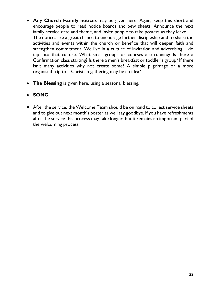- **Any Church Family notices** may be given here. Again, keep this short and encourage people to read notice boards and pew sheets. Announce the next family service date and theme, and invite people to take posters as they leave. The notices are a great chance to encourage further discipleship and to share the activities and events within the church or benefice that will deepen faith and strengthen commitment. We live in a culture of invitation and advertising – do tap into that culture. What small groups or courses are running? Is there a Confirmation class starting? Is there a men's breakfast or toddler's group? If there isn't many activities why not create some? A simple pilgrimage or a more organised trip to a Christian gathering may be an idea?
- **The Blessing** is given here, using a seasonal blessing.

#### • **SONG**

• After the service, the Welcome Team should be on hand to collect service sheets and to give out next month's poster as well say goodbye. If you have refreshments after the service this process may take longer, but it remains an important part of the welcoming process.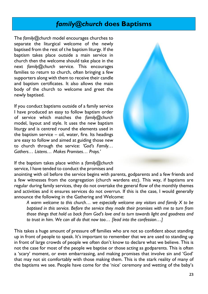## *family@church* **does Baptisms**

The *family@church* model encourages churches to separate the liturgical welcome of the newly baptised from the rest of t he baptism liturgy. If the baptism takes place outside a main service in church then the welcome should take place in the next *family@church* service. This encourages families to return to church, often bringing a few supporters along with them to receive their candle and baptism certificates. It also allows the main body of the church to welcome and greet the newly baptised.

If you conduct baptisms outside of a family service I have produced an easy to follow baptism order of service which matches the *family@church* model, layout and style. It uses the new baptism liturgy and is centred round the elements used in the baptism service – oil, water, fire. Its headings are easy to follow and aimed at guiding those new to church through the service: *'God's Family… Gathers… Listens… Makes Promises… Prays.'*



If the baptism takes place within a *family@church* service, I have tended to conduct the promises and

anointing with oil before the service begins with parents, godparents and a few friends and a few witnesses from the congregation (church wardens etc). This way, if baptisms are regular during family services, they do not overtake the general flow of the monthly themes and activities and it ensures services do not overrun. If this is the case, I would generally announce the following in the Gathering and Welcome:

*A warm welcome to this church… we especially welcome any visitors and family X to be baptised in this service. Before the service they made their promises with me to turn from those things that hold us back from God's love and to turn towards light and goodness and to trust in him. We can all do that now too… [lead into the confession…]*

This takes a huge amount of pressure off families who are not so confident about standing up in front of people to speak. It's important to remember that we are used to standing up in front of large crowds of people we often don't know to declare what we believe. This is not the case for most of the people we baptise or those acting as godparents. This is often a 'scary' moment, or even embarrassing, and making promises that involve sin and 'God' that may not sit comfortably with those making them. This is the stark reality of many of the baptisms we see. People have come for the 'nice' ceremony and wetting of the baby's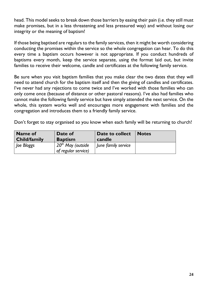head. This model seeks to break down those barriers by easing their pain (i.e. they still must make promises, but in a less threatening and less pressured way) and without losing our integrity or the meaning of baptism!

If those being baptised are regulars to the family services, then it might be worth considering conducting the promises within the service so the whole congregation can hear. To do this every time a baptism occurs however is not appropriate. If you conduct hundreds of baptisms every month, keep the service separate, using the format laid out, but invite families to receive their welcome, candle and certificates at the following family service.

Be sure when you visit baptism families that you make clear the two dates that they will need to attend church for the baptism itself and then the giving of candles and certificates. I've never had any rejections to come twice and I've worked with those families who can only come once (because of distance or other pastoral reasons). I've also had families who cannot make the following family service but have simply attended the next service. On the whole, this system works well and encourages more engagement with families and the congregation and introduces them to a friendly family service.

Don't forget to stay organised so you know when each family will be returning to church!

| <b>Name of</b>      | Date of                                    | Date to collect     | <b>Notes</b> |
|---------------------|--------------------------------------------|---------------------|--------------|
| <b>Child/family</b> | <b>Baptism</b>                             | candle              |              |
| loe Bloggs          | $20th$ May (outside<br>of regular service) | June family service |              |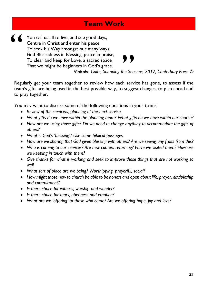## **Team Work**

You call us all to live, and see good days, Centre in Christ and enter his peace, To seek his Way amongst our many ways, Find Blessedness in Blessing, peace in praise, To clear and keep for Love, a sacred space That we might be beginners in God's grace. "

 $\left\{ \begin{array}{c} \bullet \\ \bullet \\ \bullet \\ \bullet \end{array} \right.$ 

*Malcolm Guite, Sounding the Seasons, 2012, Canterbury Press ©*

Regularly get your team together to review how each service has gone, to assess if the team's gifts are being used in the best possible way, to suggest changes, to plan ahead and to pray together.

You may want to discuss some of the following questions in your teams:

- *Review of the service/s, planning of the next service.*
- *What gifts do we have within the planning team? What gifts do we have within our church?*
- *How are we using those gifts? Do we need to change anything to accommodate the gifts of others?*
- *What is God's 'blessing'? Use some biblical passages.*
- *How are we sharing that God given blessing with others? Are we seeing any fruits from this?*
- *Who is coming to our services? Are new comers returning? Have we visited them? How are we keeping in touch with them?*
- *Give thanks for what is working and seek to improve those things that are not working so well.*
- *What sort of place are we being? Worshipping, prayerful, social?*
- *How might those new to church be able to be honest and open about life, prayer, discipleship and commitment?*
- *Is there space for witness, worship and wonder?*
- *Is there space for tears, openness and emotion?*
- *What are we 'offering' to those who come? Are we offering hope, joy and love?*